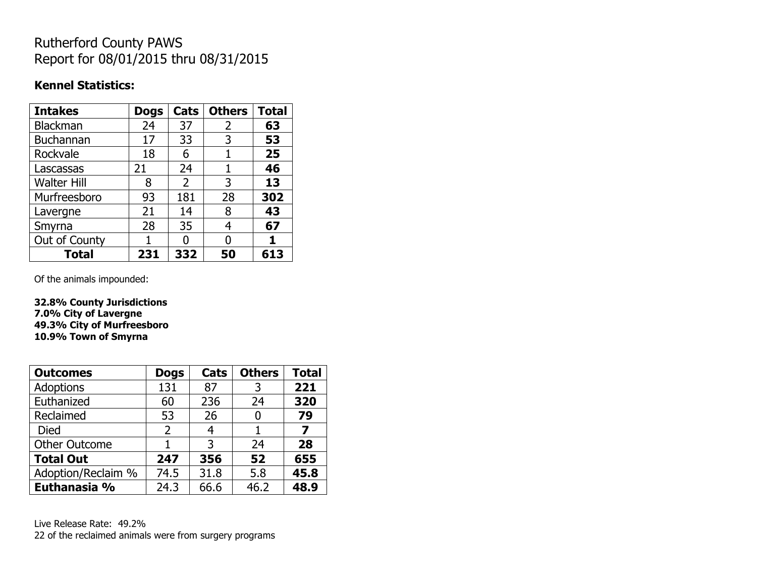## Rutherford County PAWS Report for 08/01/2015 thru 08/31/2015

### **Kennel Statistics:**

| <b>Intakes</b>     | <b>Dogs</b> | Cats           | <b>Others</b> | <b>Total</b> |
|--------------------|-------------|----------------|---------------|--------------|
| <b>Blackman</b>    | 24          | 37             | 2             | 63           |
| <b>Buchannan</b>   | 17          | 33             | 3             | 53           |
| Rockvale           | 18          | 6              |               | 25           |
| Lascassas          | 21          | 24             | 1             | 46           |
| <b>Walter Hill</b> | 8           | $\overline{2}$ | 3             | 13           |
| Murfreesboro       | 93          | 181            | 28            | 302          |
| Lavergne           | 21          | 14             | 8             | 43           |
| Smyrna             | 28          | 35             | 4             | 67           |
| Out of County      |             | ŋ              | 0             |              |
| Total              | 231         | 332            | 50            | 613          |

Of the animals impounded:

**32.8% County Jurisdictions 7.0% City of Lavergne 49.3% City of Murfreesboro 10.9% Town of Smyrna**

| <b>Outcomes</b>      | <b>Dogs</b>    | Cats | <b>Others</b> | <b>Total</b> |
|----------------------|----------------|------|---------------|--------------|
| <b>Adoptions</b>     | 131            | 87   | 3             | 221          |
| Euthanized           | 60             | 236  | 24            | 320          |
| Reclaimed            | 53             | 26   | 0             | 79           |
| Died                 | $\overline{2}$ |      |               | 7            |
| <b>Other Outcome</b> |                | 3    | 24            | 28           |
| <b>Total Out</b>     | 247            | 356  | 52            | 655          |
| Adoption/Reclaim %   | 74.5           | 31.8 | 5.8           | 45.8         |
| Euthanasia %         | 24.3           | 66.6 | 46.2          | 48.9         |

Live Release Rate: 49.2% 22 of the reclaimed animals were from surgery programs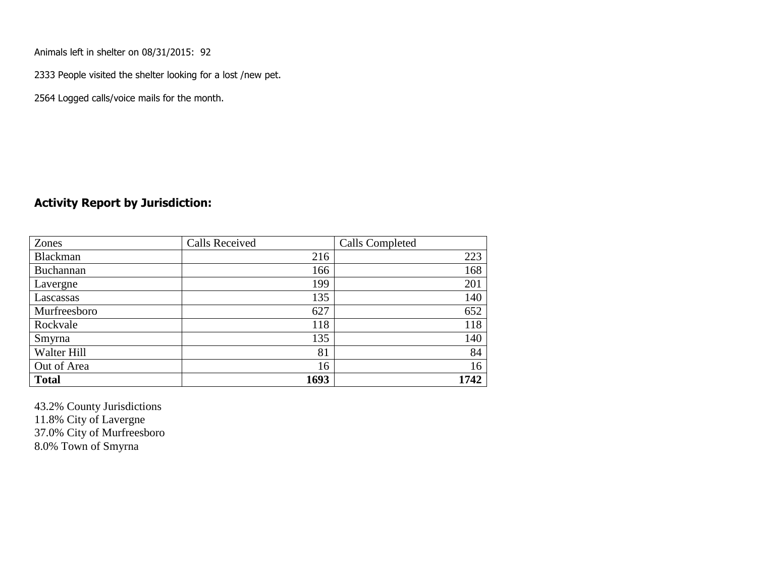Animals left in shelter on 08/31/2015: 92

2333 People visited the shelter looking for a lost /new pet.

2564 Logged calls/voice mails for the month.

#### **Activity Report by Jurisdiction:**

| Zones           | <b>Calls Received</b> | Calls Completed |
|-----------------|-----------------------|-----------------|
| <b>Blackman</b> | 216                   | 223             |
| Buchannan       | 166                   | 168             |
| Lavergne        | 199                   | 201             |
| Lascassas       | 135                   | 140             |
| Murfreesboro    | 627                   | 652             |
| Rockvale        | 118                   | 118             |
| Smyrna          | 135                   | 140             |
| Walter Hill     | 81                    | 84              |
| Out of Area     | 16                    | 16              |
| <b>Total</b>    | 1693                  | 1742            |

43.2% County Jurisdictions 11.8% City of Lavergne 37.0% City of Murfreesboro 8.0% Town of Smyrna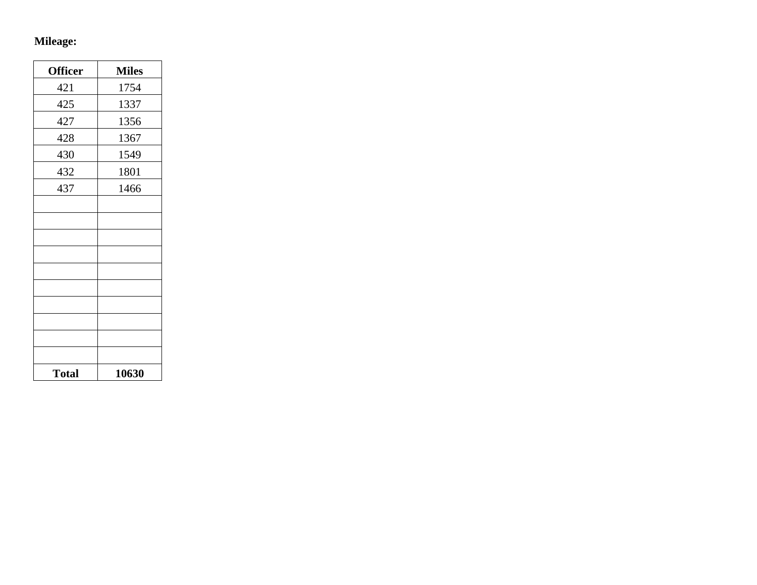# **Mileage:**

| <b>Officer</b> | <b>Miles</b> |
|----------------|--------------|
| 421            | 1754         |
| 425            | 1337         |
| 427            | 1356         |
| 428            | 1367         |
| 430            | 1549         |
| 432            | 1801         |
| 437            | 1466         |
|                |              |
|                |              |
|                |              |
|                |              |
|                |              |
|                |              |
|                |              |
|                |              |
|                |              |
|                |              |
| <b>Total</b>   | 10630        |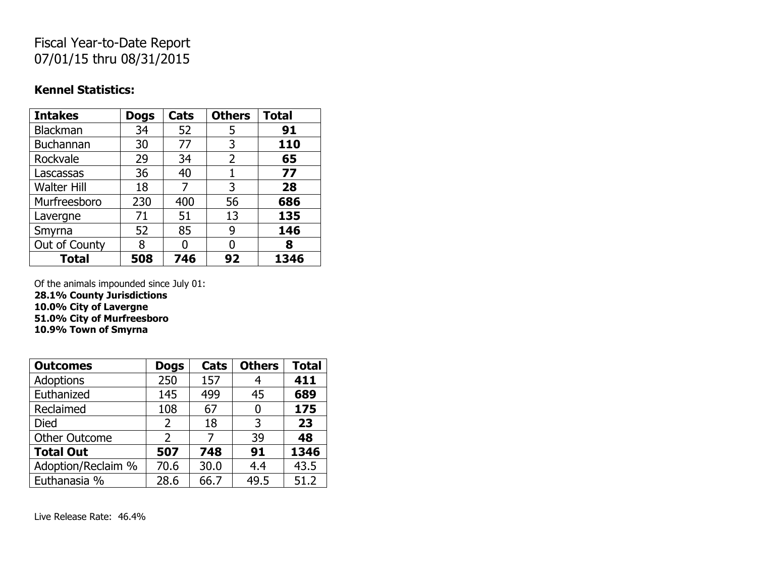## Fiscal Year-to-Date Report 07/01/15 thru 08/31/2015

### **Kennel Statistics:**

| <b>Intakes</b>     | <b>Dogs</b> | <b>Cats</b> | <b>Others</b>  | <b>Total</b> |
|--------------------|-------------|-------------|----------------|--------------|
| Blackman           | 34          | 52          | 5              | 91           |
| Buchannan          | 30          | 77          | 3              | 110          |
| Rockvale           | 29          | 34          | $\overline{2}$ | 65           |
| Lascassas          | 36          | 40          | 1              | 77           |
| <b>Walter Hill</b> | 18          |             | 3              | 28           |
| Murfreesboro       | 230         | 400         | 56             | 686          |
| Lavergne           | 71          | 51          | 13             | 135          |
| Smyrna             | 52          | 85          | 9              | 146          |
| Out of County      | 8           |             | O              | 8            |
| <b>Total</b>       | 508         | 746         | 92             | 1346         |

Of the animals impounded since July 01: **28.1% County Jurisdictions**

**10.0% City of Lavergne 51.0% City of Murfreesboro**

**10.9% Town of Smyrna**

| <b>Outcomes</b>      | <b>Dogs</b>    | Cats | <b>Others</b> | <b>Total</b> |
|----------------------|----------------|------|---------------|--------------|
| Adoptions            | 250            | 157  | 4             | 411          |
| Euthanized           | 145            | 499  | 45            | 689          |
| Reclaimed            | 108            | 67   | 0             | 175          |
| <b>Died</b>          | $\overline{2}$ | 18   | 3             | 23           |
| <b>Other Outcome</b> | $\overline{2}$ | 7    | 39            | 48           |
| <b>Total Out</b>     | 507            | 748  | 91            | 1346         |
| Adoption/Reclaim %   | 70.6           | 30.0 | 4.4           | 43.5         |
| Euthanasia %         | 28.6           | 66.7 | 49.5          | 51.2         |

Live Release Rate: 46.4%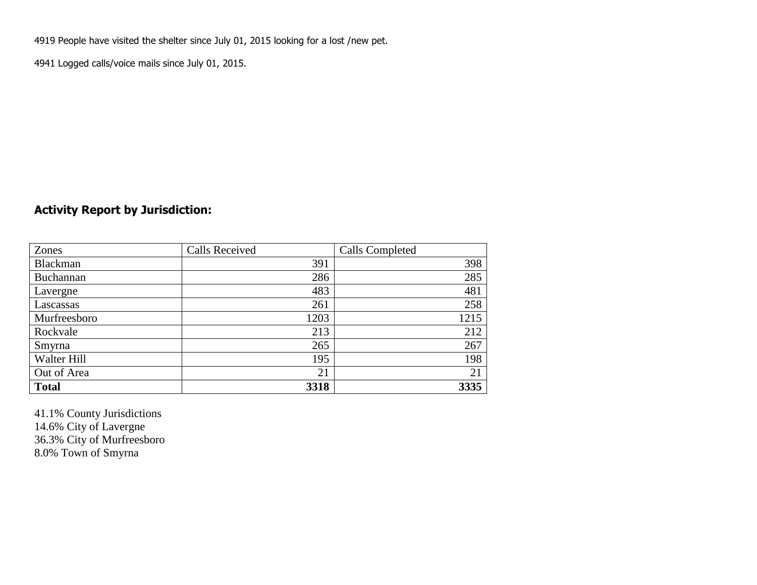4919 People have visited the shelter since July 01, 2015 looking for a lost /new pet.

4941 Logged calls/voice mails since July 01, 2015.

### **Activity Report by Jurisdiction:**

| Zones           | <b>Calls Received</b> | Calls Completed |
|-----------------|-----------------------|-----------------|
| <b>Blackman</b> | 391                   | 398             |
| Buchannan       | 286                   | 285             |
| Lavergne        | 483                   | 481             |
| Lascassas       | 261                   | 258             |
| Murfreesboro    | 1203                  | 1215            |
| Rockvale        | 213                   | 212             |
| Smyrna          | 265                   | 267             |
| Walter Hill     | 195                   | 198             |
| Out of Area     | 21                    | 21              |
| <b>Total</b>    | 3318                  | 3335            |

41.1% County Jurisdictions 14.6% City of Lavergne 36.3% City of Murfreesboro 8.0% Town of Smyrna